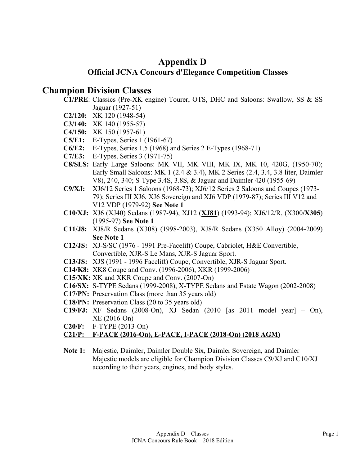## **Appendix D Official JCNA Concours d'Elegance Competition Classes**

### **Champion Division Classes**

- **C1/PRE**: Classics (Pre-XK engine) Tourer, OTS, DHC and Saloons: Swallow, SS & SS Jaguar (1927-51)
- **C2/120:** XK 120 (1948-54)
- **C3/140:** XK 140 (1955-57)
- **C4/150:** XK 150 (1957-61)
- **C5/E1:** E-Types, Series 1 (1961-67)
- **C6/E2:** E-Types, Series 1.5 (1968) and Series 2 E-Types (1968-71)
- **C7/E3:** E-Types, Series 3 (1971-75)
- **C8/SLS:** Early Large Saloons: MK VII, MK VIII, MK IX, MK 10, 420G, (1950-70); Early Small Saloons: MK 1 (2.4 & 3.4), MK 2 Series (2.4, 3.4, 3.8 liter, Daimler V8), 240, 340; S-Type 3.4S, 3.8S, & Jaguar and Daimler 420 (1955-69)
- **C9/XJ:** XJ6/12 Series 1 Saloons (1968-73); XJ6/12 Series 2 Saloons and Coupes (1973- 79); Series III XJ6, XJ6 Sovereign and XJ6 VDP (1979-87); Series III V12 and V12 VDP (1979-92) **See Note 1**
- **C10/XJ:** XJ6 (XJ40) Sedans (1987-94), XJ12 (**XJ81**) (1993-94); XJ6/12/R, (X300**/X305**) (1995-97) **See Note 1**
- **C11/J8:** XJ8/R Sedans (X308) (1998-2003), XJ8/R Sedans (X350 Alloy) (2004-2009) **See Note 1**
- **C12/JS:** XJ-S/SC (1976 1991 Pre-Facelift) Coupe, Cabriolet, H&E Convertible, Convertible, XJR-S Le Mans, XJR-S Jaguar Sport.
- **C13/JS:** XJS (1991 1996 Facelift) Coupe, Convertible, XJR-S Jaguar Sport.
- **C14/K8:** XK8 Coupe and Conv. (1996-2006), XKR (1999-2006)
- **C15/XK:** XK and XKR Coupe and Conv. (2007-On)
- **C16/SX:** S-TYPE Sedans (1999-2008), X-TYPE Sedans and Estate Wagon (2002-2008)
- **C17/PN:** Preservation Class (more than 35 years old)
- **C18/PN:** Preservation Class (20 to 35 years old)
- **C19/FJ:** XF Sedans (2008-On), XJ Sedan (2010 [as 2011 model year] On), XE (2016-On)
- **C20/F:** F-TYPE (2013-On)

#### **C21/P: F-PACE (2016-On), E-PACE, I-PACE (2018-On) (2018 AGM)**

**Note 1:** Majestic, Daimler, Daimler Double Six, Daimler Sovereign, and Daimler Majestic models are eligible for Champion Division Classes C9/XJ and C10/XJ according to their years, engines, and body styles.